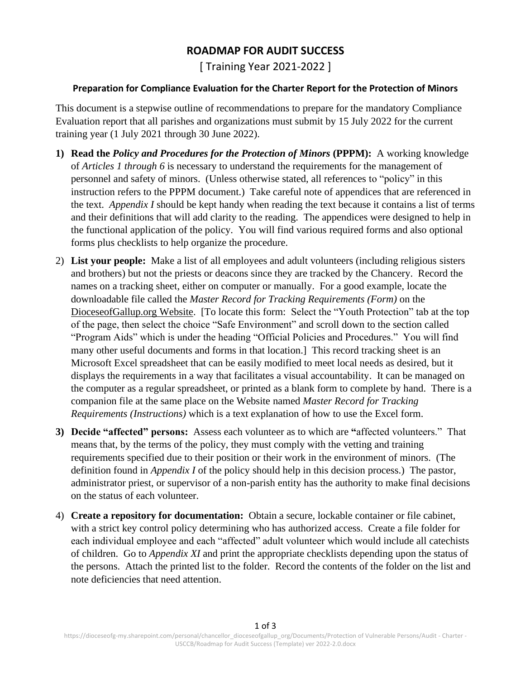## **ROADMAP FOR AUDIT SUCCESS**

[ Training Year 2021-2022 ]

## **Preparation for Compliance Evaluation for the Charter Report for the Protection of Minors**

This document is a stepwise outline of recommendations to prepare for the mandatory Compliance Evaluation report that all parishes and organizations must submit by 15 July 2022 for the current training year (1 July 2021 through 30 June 2022).

- **1) Read the** *Policy and Procedures for the Protection of Minors* **(PPPM):** A working knowledge of *Articles 1 through 6* is necessary to understand the requirements for the management of personnel and safety of minors. (Unless otherwise stated, all references to "policy" in this instruction refers to the PPPM document.) Take careful note of appendices that are referenced in the text. *Appendix I* should be kept handy when reading the text because it contains a list of terms and their definitions that will add clarity to the reading. The appendices were designed to help in the functional application of the policy. You will find various required forms and also optional forms plus checklists to help organize the procedure.
- 2) **List your people:** Make a list of all employees and adult volunteers (including religious sisters and brothers) but not the priests or deacons since they are tracked by the Chancery. Record the names on a tracking sheet, either on computer or manually. For a good example, locate the downloadable file called the *Master Record for Tracking Requirements (Form)* on the DioceseofGallup.org Website. [To locate this form: Select the "Youth Protection" tab at the top of the page, then select the choice "Safe Environment" and scroll down to the section called "Program Aids" which is under the heading "Official Policies and Procedures." You will find many other useful documents and forms in that location.] This record tracking sheet is an Microsoft Excel spreadsheet that can be easily modified to meet local needs as desired, but it displays the requirements in a way that facilitates a visual accountability. It can be managed on the computer as a regular spreadsheet, or printed as a blank form to complete by hand. There is a companion file at the same place on the Website named *Master Record for Tracking Requirements (Instructions)* which is a text explanation of how to use the Excel form.
- **3) Decide "affected" persons:** Assess each volunteer as to which are **"**affected volunteers." That means that, by the terms of the policy, they must comply with the vetting and training requirements specified due to their position or their work in the environment of minors. (The definition found in *Appendix I* of the policy should help in this decision process.) The pastor, administrator priest, or supervisor of a non-parish entity has the authority to make final decisions on the status of each volunteer.
- 4) **Create a repository for documentation:** Obtain a secure, lockable container or file cabinet, with a strict key control policy determining who has authorized access. Create a file folder for each individual employee and each "affected" adult volunteer which would include all catechists of children. Go to *Appendix XI* and print the appropriate checklists depending upon the status of the persons. Attach the printed list to the folder. Record the contents of the folder on the list and note deficiencies that need attention.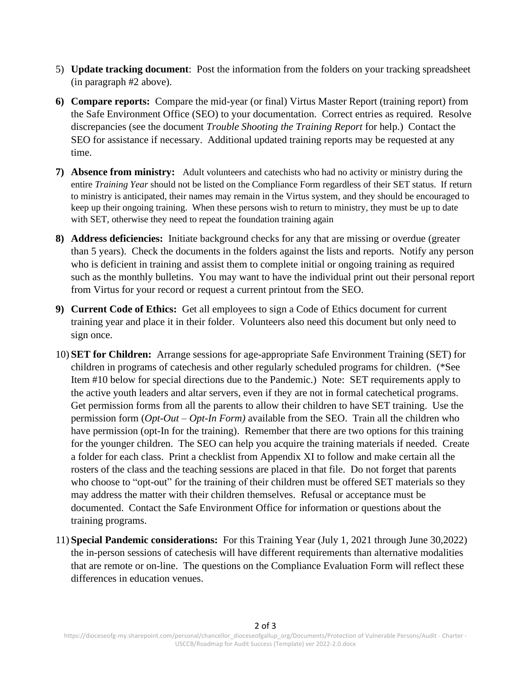- 5) **Update tracking document**: Post the information from the folders on your tracking spreadsheet (in paragraph #2 above).
- **6) Compare reports:** Compare the mid-year (or final) Virtus Master Report (training report) from the Safe Environment Office (SEO) to your documentation. Correct entries as required. Resolve discrepancies (see the document *Trouble Shooting the Training Report* for help.) Contact the SEO for assistance if necessary. Additional updated training reports may be requested at any time.
- **7) Absence from ministry:** Adult volunteers and catechists who had no activity or ministry during the entire *Training Year* should not be listed on the Compliance Form regardless of their SET status. If return to ministry is anticipated, their names may remain in the Virtus system, and they should be encouraged to keep up their ongoing training. When these persons wish to return to ministry, they must be up to date with SET, otherwise they need to repeat the foundation training again
- **8) Address deficiencies:** Initiate background checks for any that are missing or overdue (greater than 5 years). Check the documents in the folders against the lists and reports. Notify any person who is deficient in training and assist them to complete initial or ongoing training as required such as the monthly bulletins. You may want to have the individual print out their personal report from Virtus for your record or request a current printout from the SEO.
- **9) Current Code of Ethics:** Get all employees to sign a Code of Ethics document for current training year and place it in their folder. Volunteers also need this document but only need to sign once.
- 10) **SET for Children:** Arrange sessions for age-appropriate Safe Environment Training (SET) for children in programs of catechesis and other regularly scheduled programs for children. (\*See Item #10 below for special directions due to the Pandemic.) Note: SET requirements apply to the active youth leaders and altar servers, even if they are not in formal catechetical programs. Get permission forms from all the parents to allow their children to have SET training. Use the permission form (*Opt-Out – Opt-In Form)* available from the SEO. Train all the children who have permission (opt-In for the training). Remember that there are two options for this training for the younger children. The SEO can help you acquire the training materials if needed. Create a folder for each class. Print a checklist from Appendix XI to follow and make certain all the rosters of the class and the teaching sessions are placed in that file. Do not forget that parents who choose to "opt-out" for the training of their children must be offered SET materials so they may address the matter with their children themselves. Refusal or acceptance must be documented. Contact the Safe Environment Office for information or questions about the training programs.
- 11) **Special Pandemic considerations:** For this Training Year (July 1, 2021 through June 30,2022) the in-person sessions of catechesis will have different requirements than alternative modalities that are remote or on-line. The questions on the Compliance Evaluation Form will reflect these differences in education venues.